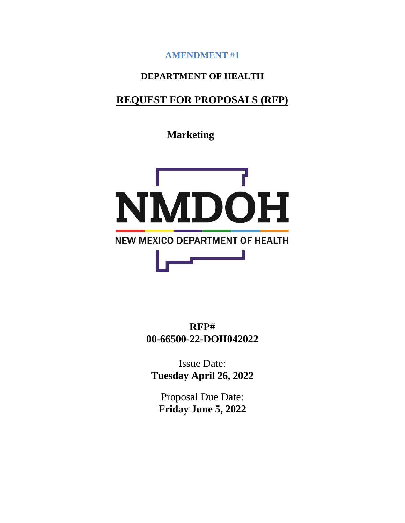**AMENDMENT #1**

## **DEPARTMENT OF HEALTH**

## **REQUEST FOR PROPOSALS (RFP)**

**Marketing**



**RFP# 00-66500-22-DOH042022**

Issue Date: **Tuesday April 26, 2022**

Proposal Due Date: **Friday June 5, 2022**